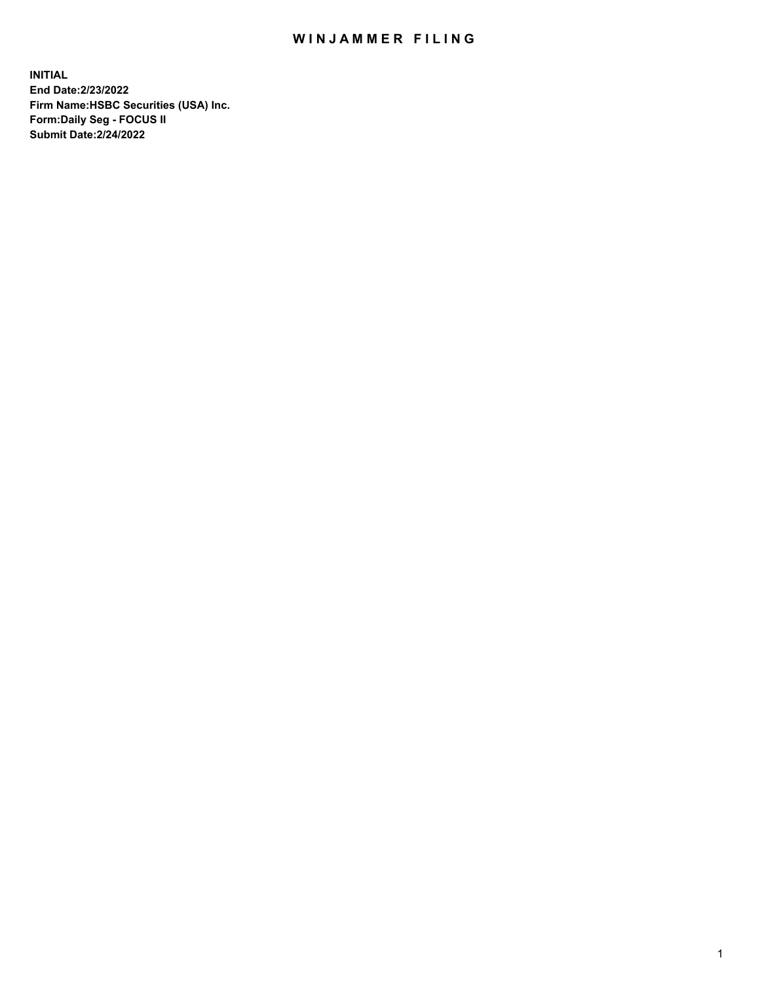## WIN JAMMER FILING

**INITIAL End Date:2/23/2022 Firm Name:HSBC Securities (USA) Inc. Form:Daily Seg - FOCUS II Submit Date:2/24/2022**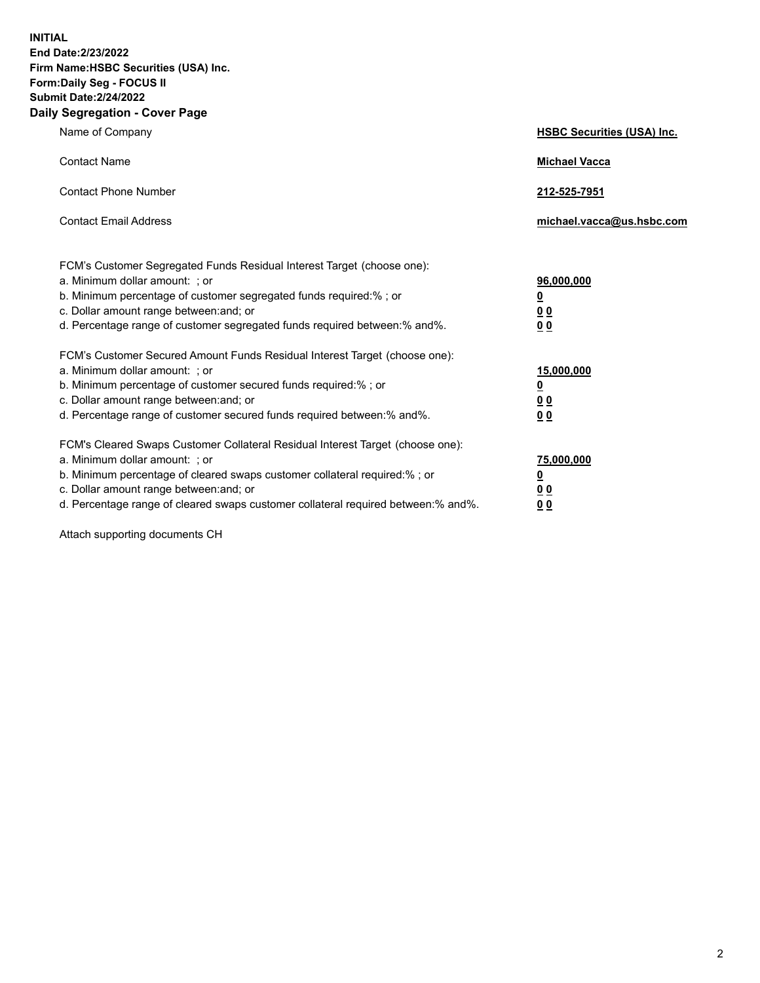**INITIAL End Date:2/23/2022 Firm Name:HSBC Securities (USA) Inc. Form:Daily Seg - FOCUS II Submit Date:2/24/2022 Daily Segregation - Cover Page**

| Name of Company                                                                                                                                                                                                                                                                                                                | <b>HSBC Securities (USA) Inc.</b>                          |
|--------------------------------------------------------------------------------------------------------------------------------------------------------------------------------------------------------------------------------------------------------------------------------------------------------------------------------|------------------------------------------------------------|
| <b>Contact Name</b>                                                                                                                                                                                                                                                                                                            | <b>Michael Vacca</b>                                       |
| <b>Contact Phone Number</b>                                                                                                                                                                                                                                                                                                    | 212-525-7951                                               |
| <b>Contact Email Address</b>                                                                                                                                                                                                                                                                                                   | michael.vacca@us.hsbc.com                                  |
| FCM's Customer Segregated Funds Residual Interest Target (choose one):<br>a. Minimum dollar amount: ; or<br>b. Minimum percentage of customer segregated funds required:% ; or<br>c. Dollar amount range between: and; or<br>d. Percentage range of customer segregated funds required between:% and%.                         | 96,000,000<br><u>0</u><br>0 <sub>0</sub><br>00             |
| FCM's Customer Secured Amount Funds Residual Interest Target (choose one):<br>a. Minimum dollar amount: ; or<br>b. Minimum percentage of customer secured funds required:%; or<br>c. Dollar amount range between: and; or<br>d. Percentage range of customer secured funds required between:% and%.                            | 15,000,000<br><u>0</u><br>0 <sub>0</sub><br>0 <sub>0</sub> |
| FCM's Cleared Swaps Customer Collateral Residual Interest Target (choose one):<br>a. Minimum dollar amount: ; or<br>b. Minimum percentage of cleared swaps customer collateral required:% ; or<br>c. Dollar amount range between: and; or<br>d. Percentage range of cleared swaps customer collateral required between:% and%. | 75,000,000<br><u>0</u><br><u>00</u><br>00                  |

Attach supporting documents CH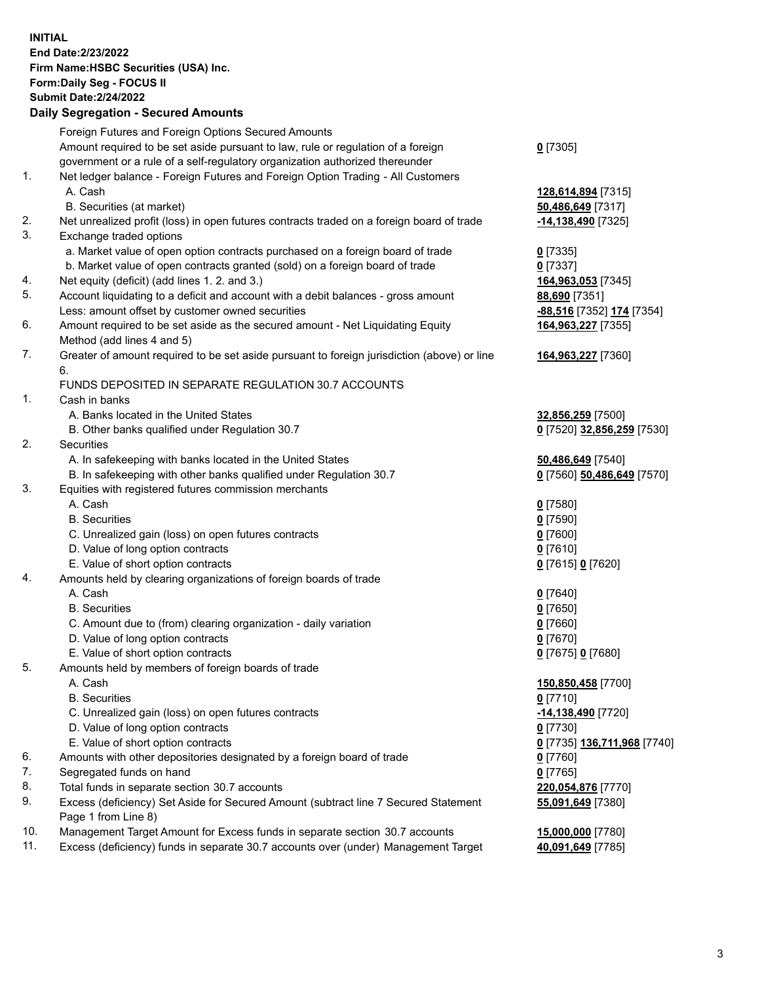**INITIAL End Date:2/23/2022 Firm Name:HSBC Securities (USA) Inc. Form:Daily Seg - FOCUS II Submit Date:2/24/2022 Daily Segregation - Secured Amounts** Foreign Futures and Foreign Options Secured Amounts Amount required to be set aside pursuant to law, rule or regulation of a foreign government or a rule of a self-regulatory organization authorized thereunder 1. Net ledger balance - Foreign Futures and Foreign Option Trading - All Customers A. Cash **128,614,894** [7315] B. Securities (at market) **50,486,649** [7317] 2. Net unrealized profit (loss) in open futures contracts traded on a foreign board of trade **-14,138,490** [7325] 3. Exchange traded options a. Market value of open option contracts purchased on a foreign board of trade **0** [7335] b. Market value of open contracts granted (sold) on a foreign board of trade **0** [7337] 4. Net equity (deficit) (add lines 1. 2. and 3.) **164,963,053** [7345] 5. Account liquidating to a deficit and account with a debit balances - gross amount **88,690** [7351] Less: amount offset by customer owned securities **-88,516** [7352] **174** [7354] 6. Amount required to be set aside as the secured amount - Net Liquidating Equity Method (add lines 4 and 5) 7. Greater of amount required to be set aside pursuant to foreign jurisdiction (above) or line 6. FUNDS DEPOSITED IN SEPARATE REGULATION 30.7 ACCOUNTS 1. Cash in banks A. Banks located in the United States **32,856,259** [7500] B. Other banks qualified under Regulation 30.7 **0** [7520] **32,856,259** [7530] 2. Securities A. In safekeeping with banks located in the United States **50,486,649** [7540]

- B. In safekeeping with other banks qualified under Regulation 30.7 **0** [7560] **50,486,649** [7570]
- 3. Equities with registered futures commission merchants
	- A. Cash **0** [7580]
	- B. Securities **0** [7590]
	- C. Unrealized gain (loss) on open futures contracts **0** [7600]
	- D. Value of long option contracts **0** [7610]
	- E. Value of short option contracts **0** [7615] **0** [7620]
- 4. Amounts held by clearing organizations of foreign boards of trade
	- A. Cash **0** [7640]
	- B. Securities **0** [7650]
	- C. Amount due to (from) clearing organization daily variation **0** [7660]
	- D. Value of long option contracts **0** [7670]
	- E. Value of short option contracts **0** [7675] **0** [7680]
- 5. Amounts held by members of foreign boards of trade
	-
	- B. Securities **0** [7710]
	- C. Unrealized gain (loss) on open futures contracts **-14,138,490** [7720]
	- D. Value of long option contracts **0** [7730]
	- E. Value of short option contracts **0** [7735] **136,711,968** [7740]
- 6. Amounts with other depositories designated by a foreign board of trade **0** [7760]
- 7. Segregated funds on hand **0** [7765]
- 8. Total funds in separate section 30.7 accounts **220,054,876** [7770]
- 9. Excess (deficiency) Set Aside for Secured Amount (subtract line 7 Secured Statement Page 1 from Line 8)
- 10. Management Target Amount for Excess funds in separate section 30.7 accounts **15,000,000** [7780]
- 11. Excess (deficiency) funds in separate 30.7 accounts over (under) Management Target **40,091,649** [7785]
- **0** [7305]
- 
- **164,963,227** [7355]
- **164,963,227** [7360]
- 
- 
- 
- 
- 
- A. Cash **150,850,458** [7700] **55,091,649** [7380]
	-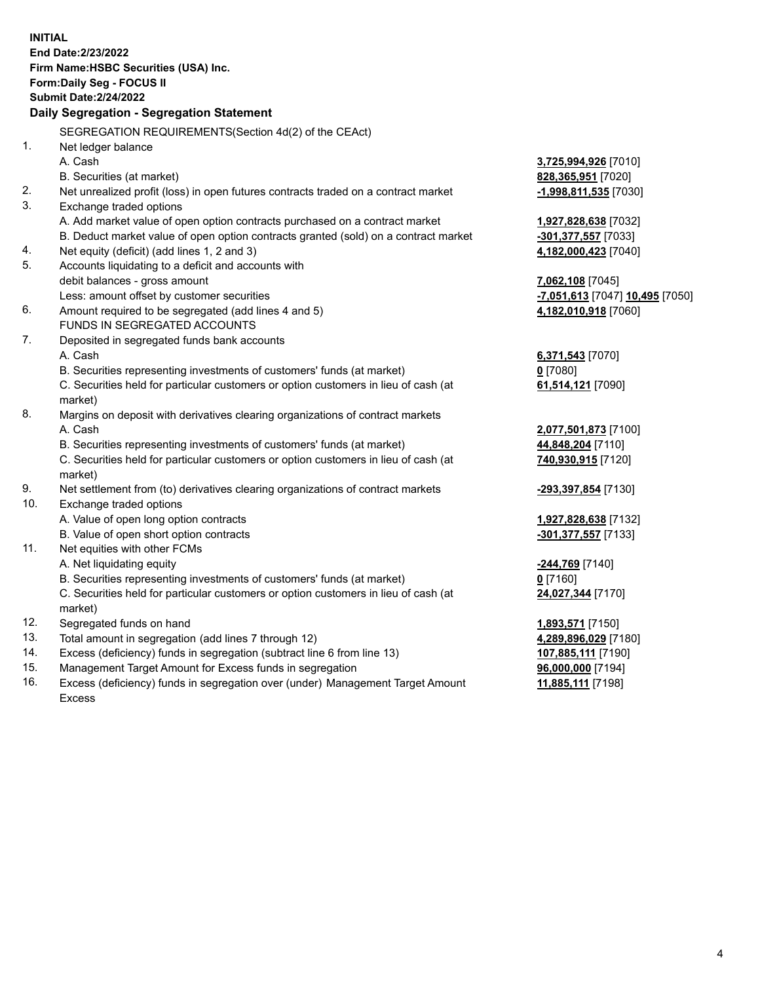**INITIAL End Date:2/23/2022 Firm Name:HSBC Securities (USA) Inc. Form:Daily Seg - FOCUS II Submit Date:2/24/2022 Daily Segregation - Segregation Statement** SEGREGATION REQUIREMENTS(Section 4d(2) of the CEAct) 1. Net ledger balance A. Cash **3,725,994,926** [7010] B. Securities (at market) **828,365,951** [7020] 2. Net unrealized profit (loss) in open futures contracts traded on a contract market **-1,998,811,535** [7030] 3. Exchange traded options A. Add market value of open option contracts purchased on a contract market **1,927,828,638** [7032] B. Deduct market value of open option contracts granted (sold) on a contract market **-301,377,557** [7033] 4. Net equity (deficit) (add lines 1, 2 and 3) **4,182,000,423** [7040] 5. Accounts liquidating to a deficit and accounts with debit balances - gross amount **7,062,108** [7045] Less: amount offset by customer securities **-7,051,613** [7047] **10,495** [7050] 6. Amount required to be segregated (add lines 4 and 5) **4,182,010,918** [7060] FUNDS IN SEGREGATED ACCOUNTS 7. Deposited in segregated funds bank accounts A. Cash **6,371,543** [7070] B. Securities representing investments of customers' funds (at market) **0** [7080] C. Securities held for particular customers or option customers in lieu of cash (at market) **61,514,121** [7090] 8. Margins on deposit with derivatives clearing organizations of contract markets A. Cash **2,077,501,873** [7100] B. Securities representing investments of customers' funds (at market) **44,848,204** [7110] C. Securities held for particular customers or option customers in lieu of cash (at market) **740,930,915** [7120] 9. Net settlement from (to) derivatives clearing organizations of contract markets **-293,397,854** [7130] 10. Exchange traded options A. Value of open long option contracts **1,927,828,638** [7132] B. Value of open short option contracts **-301,377,557** [7133] 11. Net equities with other FCMs A. Net liquidating equity **-244,769** [7140] B. Securities representing investments of customers' funds (at market) **0** [7160] C. Securities held for particular customers or option customers in lieu of cash (at market) **24,027,344** [7170] 12. Segregated funds on hand **1,893,571** [7150] 13. Total amount in segregation (add lines 7 through 12) **4,289,896,029** [7180] 14. Excess (deficiency) funds in segregation (subtract line 6 from line 13) **107,885,111** [7190] 15. Management Target Amount for Excess funds in segregation **96,000,000** [7194] 16. Excess (deficiency) funds in segregation over (under) Management Target Amount **11,885,111** [7198]

Excess